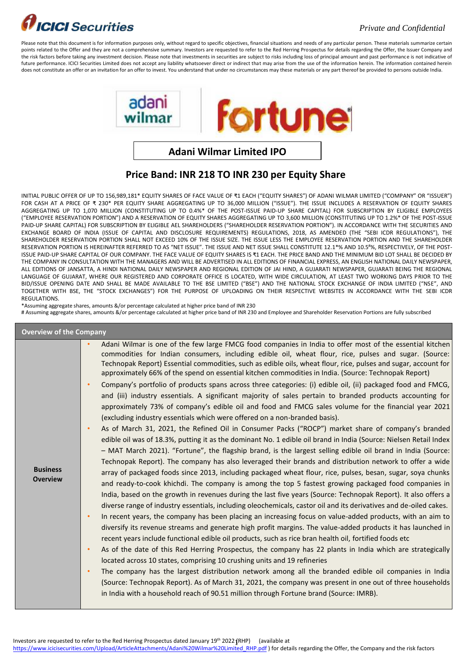### **ICICI** Securities

#### *Private and Confidential*

Please note that this document is for information purposes only, without regard to specific objectives, financial situations and needs of any particular person. These materials summarize certain points related to the Offer and they are not a comprehensive summary. Investors are requested to refer to the Red Herring Prospectus for details regarding the Offer, the Issuer Company and the risk factors before taking any investment decision. Please note that investments in securities are subject to risks including loss of principal amount and past performance is not indicative of future performance. ICICI Securities Limited does not accept any liability whatsoever direct or indirect that may arise from the use of the information herein. The information contained herein does not constitute an offer or an invitation for an offer to invest. You understand that under no circumstances may these materials or any part thereof be provided to persons outside India.



**Adani Wilmar Limited IPO**

#### **Price Band: INR 218 TO INR 230 per Equity Share**

INITIAL PUBLIC OFFER OF UP TO 156,989,181\* EQUITY SHARES OF FACE VALUE OF ₹1 EACH ("EQUITY SHARES") OF ADANI WILMAR LIMITED ("COMPANY" OR "ISSUER") FOR CASH AT A PRICE OF ₹ 230\* PER EQUITY SHARE AGGREGATING UP TO 36,000 MILLION ("ISSUE"). THE ISSUE INCLUDES A RESERVATION OF EQUITY SHARES AGGREGATING UP TO 1,070 MILLION (CONSTITUTING UP TO 0.4%\* OF THE POST-ISSUE PAID-UP SHARE CAPITAL) FOR SUBSCRIPTION BY ELIGIBLE EMPLOYEES ("EMPLOYEE RESERVATION PORTION") AND A RESERVATION OF EQUITY SHARES AGGREGATING UP TO 3,600 MILLION (CONSTITUTING UP TO 1.2%\* OF THE POST-ISSUE PAID-UP SHARE CAPITAL) FOR SUBSCRIPTION BY ELIGIBLE AEL SHAREHOLDERS ("SHAREHOLDER RESERVATION PORTION"). IN ACCORDANCE WITH THE SECURITIES AND EXCHANGE BOARD OF INDIA (ISSUE OF CAPITAL AND DISCLOSURE REQUIREMENTS) REGULATIONS, 2018, AS AMENDED (THE "SEBI ICDR REGULATIONS"), THE SHAREHOLDER RESERVATION PORTION SHALL NOT EXCEED 10% OF THE ISSUE SIZE. THE ISSUE LESS THE EMPLOYEE RESERVATION PORTION AND THE SHAREHOLDER RESERVATION PORTION IS HEREINAFTER REFERRED TO AS "NET ISSUE". THE ISSUE AND NET ISSUE SHALL CONSTITUTE 12.1\*% AND 10.5#%, RESPECTIVELY, OF THE POST-ISSUE PAID-UP SHARE CAPITAL OF OUR COMPANY. THE FACE VALUE OF EQUITY SHARES IS ₹1 EACH. THE PRICE BAND AND THE MINIMUM BID LOT SHALL BE DECIDED BY THE COMPANY IN CONSULTATION WITH THE MANAGERS AND WILL BE ADVERTISED IN ALL EDITIONS OF FINANCIAL EXPRESS, AN ENGLISH NATIONAL DAILY NEWSPAPER, ALL EDITIONS OF JANSATTA, A HINDI NATIONAL DAILY NEWSPAPER AND REGIONAL EDITION OF JAI HIND, A GUJARATI NEWSPAPER, GUJARATI BEING THE REGIONAL LANGUAGE OF GUJARAT, WHERE OUR REGISTERED AND CORPORATE OFFICE IS LOCATED, WITH WIDE CIRCULATION, AT LEAST TWO WORKING DAYS PRIOR TO THE BID/ISSUE OPENING DATE AND SHALL BE MADE AVAILABLE TO THE BSE LIMITED ("BSE") AND THE NATIONAL STOCK EXCHANGE OF INDIA LIMITED ("NSE", AND TOGETHER WITH BSE, THE "STOCK EXCHANGES") FOR THE PURPOSE OF UPLOADING ON THEIR RESPECTIVE WEBSITES IN ACCORDANCE WITH THE SEBI ICDR REGULATIONS.

\*Assuming aggregate shares, amounts &/or percentage calculated at higher price band of INR 230

# Assuming aggregate shares, amounts &/or percentage calculated at higher price band of INR 230 and Employee and Shareholder Reservation Portions are fully subscribed

| <b>Overview of the Company</b>     |                                                                                                                                                                                                                                                                                                                                                                                                                                                                                                                                                                                                                                                                                                                                                                                                                                                                                                                                                                                                                                                                                                                                                                                                                                                                                                                                                                                                                                                                                                                                                                                                                                                                                                                                                                                                                                                                                                                                                                                                                                                                                                                                                                                                                                                                                                                                                                                                                                                                                                                                                                                                                                                                                                |  |  |  |  |
|------------------------------------|------------------------------------------------------------------------------------------------------------------------------------------------------------------------------------------------------------------------------------------------------------------------------------------------------------------------------------------------------------------------------------------------------------------------------------------------------------------------------------------------------------------------------------------------------------------------------------------------------------------------------------------------------------------------------------------------------------------------------------------------------------------------------------------------------------------------------------------------------------------------------------------------------------------------------------------------------------------------------------------------------------------------------------------------------------------------------------------------------------------------------------------------------------------------------------------------------------------------------------------------------------------------------------------------------------------------------------------------------------------------------------------------------------------------------------------------------------------------------------------------------------------------------------------------------------------------------------------------------------------------------------------------------------------------------------------------------------------------------------------------------------------------------------------------------------------------------------------------------------------------------------------------------------------------------------------------------------------------------------------------------------------------------------------------------------------------------------------------------------------------------------------------------------------------------------------------------------------------------------------------------------------------------------------------------------------------------------------------------------------------------------------------------------------------------------------------------------------------------------------------------------------------------------------------------------------------------------------------------------------------------------------------------------------------------------------------|--|--|--|--|
| <b>Business</b><br><b>Overview</b> | Adani Wilmar is one of the few large FMCG food companies in India to offer most of the essential kitchen<br>commodities for Indian consumers, including edible oil, wheat flour, rice, pulses and sugar. (Source:<br>Technopak Report) Essential commodities, such as edible oils, wheat flour, rice, pulses and sugar, account for<br>approximately 66% of the spend on essential kitchen commodities in India. (Source: Technopak Report)<br>Company's portfolio of products spans across three categories: (i) edible oil, (ii) packaged food and FMCG,<br>$\bullet$<br>and (iii) industry essentials. A significant majority of sales pertain to branded products accounting for<br>approximately 73% of company's edible oil and food and FMCG sales volume for the financial year 2021<br>(excluding industry essentials which were offered on a non-branded basis).<br>As of March 31, 2021, the Refined Oil in Consumer Packs ("ROCP") market share of company's branded<br>$\bullet$<br>edible oil was of 18.3%, putting it as the dominant No. 1 edible oil brand in India (Source: Nielsen Retail Index<br>- MAT March 2021). "Fortune", the flagship brand, is the largest selling edible oil brand in India (Source:<br>Technopak Report). The company has also leveraged their brands and distribution network to offer a wide<br>array of packaged foods since 2013, including packaged wheat flour, rice, pulses, besan, sugar, soya chunks<br>and ready-to-cook khichdi. The company is among the top 5 fastest growing packaged food companies in<br>India, based on the growth in revenues during the last five years (Source: Technopak Report). It also offers a<br>diverse range of industry essentials, including oleochemicals, castor oil and its derivatives and de-oiled cakes.<br>In recent years, the company has been placing an increasing focus on value-added products, with an aim to<br>$\bullet$<br>diversify its revenue streams and generate high profit margins. The value-added products it has launched in<br>recent years include functional edible oil products, such as rice bran health oil, fortified foods etc<br>As of the date of this Red Herring Prospectus, the company has 22 plants in India which are strategically<br>$\bullet$<br>located across 10 states, comprising 10 crushing units and 19 refineries<br>The company has the largest distribution network among all the branded edible oil companies in India<br>$\bullet$<br>(Source: Technopak Report). As of March 31, 2021, the company was present in one out of three households<br>in India with a household reach of 90.51 million through Fortune brand (Source: IMRB). |  |  |  |  |

Investors are requested to refer to the Red Herring Prospectus dated January 19<sup>th</sup> 2022 (RHP) (available at

[https://www.icicisecurities.com/Upload/ArticleAttachments/Adani%20Wilmar%20Limited\\_RHP.pdf](https://www.icicisecurities.com/Upload/ArticleAttachments/Adani%20Wilmar%20Limited_RHP.pdf) ) for details regarding the Offer, the Company and the risk factors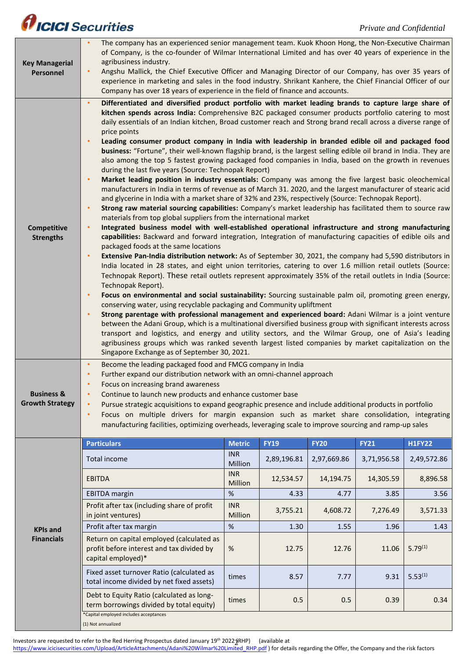## *AICICI* Securities

| <b>Key Managerial</b><br>Personnel              | The company has an experienced senior management team. Kuok Khoon Hong, the Non-Executive Chairman<br>of Company, is the co-founder of Wilmar International Limited and has over 40 years of experience in the<br>agribusiness industry.<br>Angshu Mallick, the Chief Executive Officer and Managing Director of our Company, has over 35 years of<br>$\bullet$<br>experience in marketing and sales in the food industry. Shrikant Kanhere, the Chief Financial Officer of our<br>Company has over 18 years of experience in the field of finance and accounts.                                                                                                                                                                                                                                                                                                                                                                                                                                                                                                                                                                                                                                                                                                                                                                                                                                                                                                                                                                                                                                                                                                                                                                                                                                                                                                                                                                                                                                                                                                                                                                                                                                                                                                                                                                                                                                                                                                                                                                                                                                                                                                                      |                       |             |             |             |               |
|-------------------------------------------------|---------------------------------------------------------------------------------------------------------------------------------------------------------------------------------------------------------------------------------------------------------------------------------------------------------------------------------------------------------------------------------------------------------------------------------------------------------------------------------------------------------------------------------------------------------------------------------------------------------------------------------------------------------------------------------------------------------------------------------------------------------------------------------------------------------------------------------------------------------------------------------------------------------------------------------------------------------------------------------------------------------------------------------------------------------------------------------------------------------------------------------------------------------------------------------------------------------------------------------------------------------------------------------------------------------------------------------------------------------------------------------------------------------------------------------------------------------------------------------------------------------------------------------------------------------------------------------------------------------------------------------------------------------------------------------------------------------------------------------------------------------------------------------------------------------------------------------------------------------------------------------------------------------------------------------------------------------------------------------------------------------------------------------------------------------------------------------------------------------------------------------------------------------------------------------------------------------------------------------------------------------------------------------------------------------------------------------------------------------------------------------------------------------------------------------------------------------------------------------------------------------------------------------------------------------------------------------------------------------------------------------------------------------------------------------------|-----------------------|-------------|-------------|-------------|---------------|
| Competitive<br><b>Strengths</b>                 | Differentiated and diversified product portfolio with market leading brands to capture large share of<br>$\bullet$<br>kitchen spends across India: Comprehensive B2C packaged consumer products portfolio catering to most<br>daily essentials of an Indian kitchen, Broad customer reach and Strong brand recall across a diverse range of<br>price points<br>Leading consumer product company in India with leadership in branded edible oil and packaged food<br>$\bullet$<br>business: "Fortune", their well-known flagship brand, is the largest selling edible oil brand in India. They are<br>also among the top 5 fastest growing packaged food companies in India, based on the growth in revenues<br>during the last five years (Source: Technopak Report)<br>Market leading position in industry essentials: Company was among the five largest basic oleochemical<br>$\bullet$<br>manufacturers in India in terms of revenue as of March 31. 2020, and the largest manufacturer of stearic acid<br>and glycerine in India with a market share of 32% and 23%, respectively (Source: Technopak Report).<br>Strong raw material sourcing capabilities: Company's market leadership has facilitated them to source raw<br>$\bullet$<br>materials from top global suppliers from the international market<br>Integrated business model with well-established operational infrastructure and strong manufacturing<br>$\bullet$<br>capabilities: Backward and forward integration, Integration of manufacturing capacities of edible oils and<br>packaged foods at the same locations<br>Extensive Pan-India distribution network: As of September 30, 2021, the company had 5,590 distributors in<br>$\bullet$<br>India located in 28 states, and eight union territories, catering to over 1.6 million retail outlets (Source:<br>Technopak Report). These retail outlets represent approximately 35% of the retail outlets in India (Source:<br>Technopak Report).<br>Focus on environmental and social sustainability: Sourcing sustainable palm oil, promoting green energy,<br>$\bullet$<br>conserving water, using recyclable packaging and Community upliftment<br>Strong parentage with professional management and experienced board: Adani Wilmar is a joint venture<br>$\bullet$<br>between the Adani Group, which is a multinational diversified business group with significant interests across<br>transport and logistics, and energy and utility sectors, and the Wilmar Group, one of Asia's leading<br>agribusiness groups which was ranked seventh largest listed companies by market capitalization on the<br>Singapore Exchange as of September 30, 2021. |                       |             |             |             |               |
| <b>Business &amp;</b><br><b>Growth Strategy</b> | Become the leading packaged food and FMCG company in India<br>$\bullet$<br>Further expand our distribution network with an omni-channel approach<br>$\bullet$<br>Focus on increasing brand awareness<br>$\bullet$<br>Continue to launch new products and enhance customer base<br>$\bullet$<br>Pursue strategic acquisitions to expand geographic presence and include additional products in portfolio<br>$\bullet$<br>Focus on multiple drivers for margin expansion such as market share consolidation, integrating<br>$\bullet$<br>manufacturing facilities, optimizing overheads, leveraging scale to improve sourcing and ramp-up sales                                                                                                                                                                                                                                                                                                                                                                                                                                                                                                                                                                                                                                                                                                                                                                                                                                                                                                                                                                                                                                                                                                                                                                                                                                                                                                                                                                                                                                                                                                                                                                                                                                                                                                                                                                                                                                                                                                                                                                                                                                         |                       |             |             |             |               |
|                                                 | <b>Particulars</b>                                                                                                                                                                                                                                                                                                                                                                                                                                                                                                                                                                                                                                                                                                                                                                                                                                                                                                                                                                                                                                                                                                                                                                                                                                                                                                                                                                                                                                                                                                                                                                                                                                                                                                                                                                                                                                                                                                                                                                                                                                                                                                                                                                                                                                                                                                                                                                                                                                                                                                                                                                                                                                                                    | <b>Metric</b>         | <b>FY19</b> | <b>FY20</b> | <b>FY21</b> | <b>H1FY22</b> |
| <b>KPIs and</b><br><b>Financials</b>            | Total income                                                                                                                                                                                                                                                                                                                                                                                                                                                                                                                                                                                                                                                                                                                                                                                                                                                                                                                                                                                                                                                                                                                                                                                                                                                                                                                                                                                                                                                                                                                                                                                                                                                                                                                                                                                                                                                                                                                                                                                                                                                                                                                                                                                                                                                                                                                                                                                                                                                                                                                                                                                                                                                                          | <b>INR</b><br>Million | 2,89,196.81 | 2,97,669.86 | 3,71,956.58 | 2,49,572.86   |
|                                                 | <b>EBITDA</b>                                                                                                                                                                                                                                                                                                                                                                                                                                                                                                                                                                                                                                                                                                                                                                                                                                                                                                                                                                                                                                                                                                                                                                                                                                                                                                                                                                                                                                                                                                                                                                                                                                                                                                                                                                                                                                                                                                                                                                                                                                                                                                                                                                                                                                                                                                                                                                                                                                                                                                                                                                                                                                                                         | <b>INR</b><br>Million | 12,534.57   | 14,194.75   | 14,305.59   | 8,896.58      |
|                                                 | <b>EBITDA</b> margin                                                                                                                                                                                                                                                                                                                                                                                                                                                                                                                                                                                                                                                                                                                                                                                                                                                                                                                                                                                                                                                                                                                                                                                                                                                                                                                                                                                                                                                                                                                                                                                                                                                                                                                                                                                                                                                                                                                                                                                                                                                                                                                                                                                                                                                                                                                                                                                                                                                                                                                                                                                                                                                                  | %                     | 4.33        | 4.77        | 3.85        | 3.56          |
|                                                 | Profit after tax (including share of profit<br>in joint ventures)                                                                                                                                                                                                                                                                                                                                                                                                                                                                                                                                                                                                                                                                                                                                                                                                                                                                                                                                                                                                                                                                                                                                                                                                                                                                                                                                                                                                                                                                                                                                                                                                                                                                                                                                                                                                                                                                                                                                                                                                                                                                                                                                                                                                                                                                                                                                                                                                                                                                                                                                                                                                                     | <b>INR</b><br>Million | 3,755.21    | 4,608.72    | 7,276.49    | 3,571.33      |
|                                                 | Profit after tax margin                                                                                                                                                                                                                                                                                                                                                                                                                                                                                                                                                                                                                                                                                                                                                                                                                                                                                                                                                                                                                                                                                                                                                                                                                                                                                                                                                                                                                                                                                                                                                                                                                                                                                                                                                                                                                                                                                                                                                                                                                                                                                                                                                                                                                                                                                                                                                                                                                                                                                                                                                                                                                                                               | %                     | 1.30        | 1.55        | 1.96        | 1.43          |
|                                                 | Return on capital employed (calculated as<br>profit before interest and tax divided by<br>capital employed)*                                                                                                                                                                                                                                                                                                                                                                                                                                                                                                                                                                                                                                                                                                                                                                                                                                                                                                                                                                                                                                                                                                                                                                                                                                                                                                                                                                                                                                                                                                                                                                                                                                                                                                                                                                                                                                                                                                                                                                                                                                                                                                                                                                                                                                                                                                                                                                                                                                                                                                                                                                          | $\%$                  | 12.75       | 12.76       | 11.06       | $5.79^{(1)}$  |
|                                                 | Fixed asset turnover Ratio (calculated as<br>total income divided by net fixed assets)                                                                                                                                                                                                                                                                                                                                                                                                                                                                                                                                                                                                                                                                                                                                                                                                                                                                                                                                                                                                                                                                                                                                                                                                                                                                                                                                                                                                                                                                                                                                                                                                                                                                                                                                                                                                                                                                                                                                                                                                                                                                                                                                                                                                                                                                                                                                                                                                                                                                                                                                                                                                | times                 | 8.57        | 7.77        | 9.31        | $5.53^{(1)}$  |
|                                                 | Debt to Equity Ratio (calculated as long-                                                                                                                                                                                                                                                                                                                                                                                                                                                                                                                                                                                                                                                                                                                                                                                                                                                                                                                                                                                                                                                                                                                                                                                                                                                                                                                                                                                                                                                                                                                                                                                                                                                                                                                                                                                                                                                                                                                                                                                                                                                                                                                                                                                                                                                                                                                                                                                                                                                                                                                                                                                                                                             |                       |             |             |             |               |
|                                                 | term borrowings divided by total equity)<br>*Capital employed includes acceptances                                                                                                                                                                                                                                                                                                                                                                                                                                                                                                                                                                                                                                                                                                                                                                                                                                                                                                                                                                                                                                                                                                                                                                                                                                                                                                                                                                                                                                                                                                                                                                                                                                                                                                                                                                                                                                                                                                                                                                                                                                                                                                                                                                                                                                                                                                                                                                                                                                                                                                                                                                                                    | times                 | 0.5         | 0.5         | 0.39        | 0.34          |

Investors are requested to refer to the Red Herring Prospectus dated January 19<sup>th</sup> 2022 (RHP) (available at

[https://www.icicisecurities.com/Upload/ArticleAttachments/Adani%20Wilmar%20Limited\\_RHP.pdf](https://www.icicisecurities.com/Upload/ArticleAttachments/Adani%20Wilmar%20Limited_RHP.pdf) ) for details regarding the Offer, the Company and the risk factors